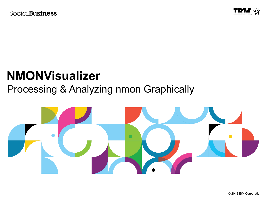

# **NMONVisualizer**

# Processing & Analyzing nmon Graphically

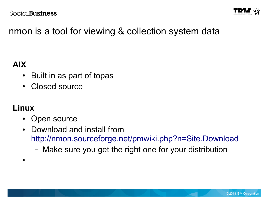

# nmon is a tool for viewing & collection system data

### **AIX**

- Built in as part of topas
- Closed source

### **Linux**

●

- Open source
- Download and install from <http://nmon.sourceforge.net/pmwiki.php?n=Site.Download>
	- Make sure you get the right one for your distribution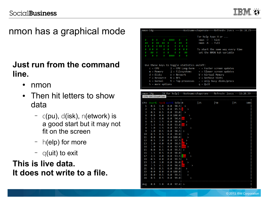

## nmon has a graphical mode

### **Just run from the command line.**

- nmon
- Then hit letters to show data
	- $\sim$  c(pu), d(isk), n(etwork) is a good start but it may not fit on the screen
	- h(elp) for more
	- $-$  q(uit) to exit

### **This is live data. It does not write to a file.**

| $r$ nmon $-14g$                             |                                          |                                    |                                             | -Hostname=chaperone——Refresh= 2secs ——16:18.25                           |
|---------------------------------------------|------------------------------------------|------------------------------------|---------------------------------------------|--------------------------------------------------------------------------|
| #<br>#<br>##<br>#<br>#<br>#<br>-#<br>#<br># | $+$<br>#<br>##<br>##<br># ## #<br>#<br># | ####<br>#<br>#<br>#<br>#<br>#<br># | #<br>#<br>##<br>#<br># #<br>#<br>#<br># #   | For help type H or $\dots$<br>$nmon -? - hint$<br>$n$ mon - $h$ - $full$ |
| #<br>##<br>#<br>#                           | #<br>- #<br>- #<br>#                     | #<br>#<br>####                     | #<br>##<br>#<br>#                           | To start the same way every time<br>set the NMON ksh variable            |
|                                             |                                          |                                    | Use these keys to toggle statistics on/off: |                                                                          |
|                                             |                                          |                                    |                                             | $c = CPU$ $l = CPU$ Long-term   -   = Faster screen updates              |
|                                             |                                          |                                    |                                             | $m =$ Memory $j =$ Filesystems $+$ = Slower screen updates               |
|                                             |                                          |                                    |                                             | $d = \text{Disks}$ $n = \text{Network}$ $V = \text{Virtual Memory}$      |
|                                             |                                          |                                    |                                             | $r =$ Resource $N =$ NFS $v =$ Verbose hints                             |
|                                             |                                          |                                    | $k = k$ ernel $t = Top-processes$           | $=$ only busy disks/procs                                                |
|                                             | $h =$ more options                       |                                    |                                             | $q = 0$ uit                                                              |

|                | -nmon-14g-      |     |            |              | -[H for help]——Hostname=chaperone———Refresh= 2secs ——16:20.59- |    |    |     |
|----------------|-----------------|-----|------------|--------------|----------------------------------------------------------------|----|----|-----|
|                | CPU Utilisation |     |            |              |                                                                |    |    |     |
|                |                 |     |            |              |                                                                |    |    |     |
| CPU            | User%           |     | Sys% Wait% | Idle 0       | $\boxed{25}$                                                   | 50 | 75 | 100 |
| 1              | 0.5             | 1.0 | 0.0        | 98.5         | $\rightarrow$                                                  |    |    |     |
| $\overline{2}$ | 1.0             | 3.5 | 0.0        | 95.5         | $\,>\,$                                                        |    |    |     |
| 3              | 0.5             | 0.5 | 0.0        | 99.0         | $\rightarrow$                                                  |    |    |     |
| 4              | 0.0             | 0.0 |            | 0.0100.0     | $\mathord{\succ}$                                              |    |    |     |
| 5              | 1.5             | 4.0 | 0.0        | 94.4         | $\,$                                                           |    |    |     |
| 6              | 0.5             | 1.5 | 0.0        | 98.0         | $\,>\,$                                                        |    |    |     |
| 7              | 1.5             | 4.6 | 0.0        | 93.8         | $\rightarrow$<br>s                                             |    |    |     |
| 8              | 1.0             | 1.5 | 0.0        | 97.5         | $\check{ }$                                                    |    |    |     |
| 9              | 1.0             | 0.5 | 0.0        | $98.5$ >     |                                                                |    |    |     |
| 10             | 0.5             | 0.5 | 0.0        | 99.0         | $\,>\,$                                                        |    |    |     |
| 11             | 0.0             | 0.0 |            | 0.0100.0     | >                                                              |    |    |     |
| 12             | 0.5             | 2.0 | 0.0        | 97.5         | $\,>\,$                                                        |    |    |     |
| 13             | 1.0             | 4.0 | 0.0        | 94.9         | $\rightarrow$                                                  |    |    |     |
| 14             | 1.0             | 6.1 | 0.0        | 92.9         | $\rightarrow$<br><b>SS</b>                                     |    |    |     |
| 15             | 0.0             | 0.5 | 0.0        | $99.5$ >     |                                                                |    |    |     |
| 16             | 1.5             | 0.5 | 0.0        | 98.0         | $\,>\,$                                                        |    |    |     |
| 17             | 2.5             | 4.0 | 0.0        | 93.5         | $\rightarrow$<br>S                                             |    |    |     |
| 18             | 0.5             | 0.0 | 0.0        | 99.5         | V                                                              |    |    |     |
| 19             | 1.0             | 3.0 | 0.0        | 96.0         | $\,>\,$                                                        |    |    |     |
| 20             | 1.5             | 4.1 | 0.0        | 94.4         | V                                                              |    |    |     |
| 21             | 0.5             | 0.5 | 0.0        | 99.0         | $\overline{\phantom{0}}$                                       |    |    |     |
| 22             | 0.0             | 0.0 |            | 0.0100.0     | $\,>\,$                                                        |    |    |     |
| 23             | 0.0             | 0.5 | 0.0        | 99.5         | $\rightarrow$                                                  |    |    |     |
| 24             | 0.5             | 0.5 | 0.0        | 99.0         | ≻                                                              |    |    |     |
| Avg            | 0.8             | 1.8 |            | $0.0$ 97.4 > |                                                                |    |    |     |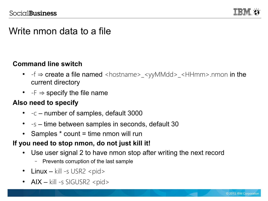

### Write nmon data to a file

#### **Command line switch**

- $-f \Rightarrow$  create a file named <hostname>\_<yyMMdd>\_<HHmm>.nmon in the current directory
- $-F \Rightarrow$  specify the file name

### **Also need to specify**

- $-c$  number of samples, default 3000
- $\bullet$  -s time between samples in seconds, default 30
- Samples  $*$  count = time nmon will run

### **If you need to stop nmon, do not just kill it!**

- Use user signal 2 to have nmon stop after writing the next record
	- Prevents corruption of the last sample
- Linux kill -s USR2 <pid>
- $AIX kill -s$  SIGUSR2 <pid>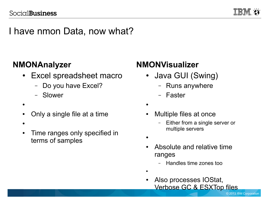

### I have nmon Data, now what?

### **NMONAnalyzer**

- Excel spreadsheet macro
	- Do you have Excel?
	- Slower
- ●
- Only a single file at a time
- $\bullet$
- Time ranges only specified in terms of samples

### **NMONVisualizer**

- Java GUI (Swing)
	- Runs anywhere
	- Faster
- ●
- Multiple files at once
	- Either from a single server or multiple servers
- ●
- Absolute and relative time ranges
	- Handles time zones too
- ●
- Also processes IOStat, Verbose GC & ESXTop files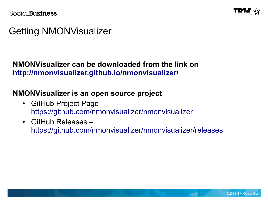

## Getting NMONVisualizer

### **NMONVisualizer can be downloaded from the link on <http://nmonvisualizer.github.io/nmonvisualizer/>**

### **NMONVisualizer is an open source project**

- GitHub Project Page <https://github.com/nmonvisualizer/nmonvisualizer>
- GitHub Releases <https://github.com/nmonvisualizer/nmonvisualizer/releases>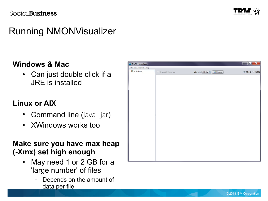

# Running NMONVisualizer

### **Windows & Mac**

• Can just double click if a JRE is installed

### **Linux or AIX**

- Command line (java -jar)
- XWindows works too

### **Make sure you have max heap (-Xmx) set high enough**

- May need 1 or 2 GB for a 'large number' of files
	- Depends on the amount of data per file

| <b>EM</b> NMON Visualizer |                     |                              | $\begin{array}{c c c c c} \hline \multicolumn{3}{c }{\mathbf{I}} & \multicolumn{3}{c }{\mathbf{X}} \\ \hline \multicolumn{3}{c }{\mathbf{I}} & \multicolumn{3}{c }{\mathbf{I}} & \multicolumn{3}{c }{\mathbf{X}} \\ \hline \multicolumn{3}{c }{\mathbf{I}} & \multicolumn{3}{c }{\mathbf{I}} & \multicolumn{3}{c }{\mathbf{X}} \\ \hline \multicolumn{3}{c }{\mathbf{I}} & \multicolumn{3}{c }{\mathbf{I}} & \multicolumn{3}{c }{\mathbf{I}} \\ \hline \multic$ |
|---------------------------|---------------------|------------------------------|-----------------------------------------------------------------------------------------------------------------------------------------------------------------------------------------------------------------------------------------------------------------------------------------------------------------------------------------------------------------------------------------------------------------------------------------------------------------|
| Eile View Intervals Help  |                     |                              |                                                                                                                                                                                                                                                                                                                                                                                                                                                                 |
| All Systems               | Graph All Intervals | Interval: All Data<br>Manage | $\odot$ Charts $\bigcirc$ Table                                                                                                                                                                                                                                                                                                                                                                                                                                 |
|                           |                     |                              |                                                                                                                                                                                                                                                                                                                                                                                                                                                                 |
|                           |                     |                              |                                                                                                                                                                                                                                                                                                                                                                                                                                                                 |
|                           |                     |                              |                                                                                                                                                                                                                                                                                                                                                                                                                                                                 |
|                           |                     |                              |                                                                                                                                                                                                                                                                                                                                                                                                                                                                 |
|                           |                     |                              |                                                                                                                                                                                                                                                                                                                                                                                                                                                                 |
|                           |                     |                              |                                                                                                                                                                                                                                                                                                                                                                                                                                                                 |
|                           |                     |                              |                                                                                                                                                                                                                                                                                                                                                                                                                                                                 |
|                           |                     |                              |                                                                                                                                                                                                                                                                                                                                                                                                                                                                 |
|                           |                     |                              |                                                                                                                                                                                                                                                                                                                                                                                                                                                                 |
|                           |                     |                              |                                                                                                                                                                                                                                                                                                                                                                                                                                                                 |
|                           |                     |                              |                                                                                                                                                                                                                                                                                                                                                                                                                                                                 |
|                           |                     |                              |                                                                                                                                                                                                                                                                                                                                                                                                                                                                 |
|                           |                     |                              |                                                                                                                                                                                                                                                                                                                                                                                                                                                                 |
|                           |                     |                              |                                                                                                                                                                                                                                                                                                                                                                                                                                                                 |
|                           |                     |                              |                                                                                                                                                                                                                                                                                                                                                                                                                                                                 |
|                           |                     |                              |                                                                                                                                                                                                                                                                                                                                                                                                                                                                 |
|                           |                     |                              |                                                                                                                                                                                                                                                                                                                                                                                                                                                                 |
|                           |                     |                              |                                                                                                                                                                                                                                                                                                                                                                                                                                                                 |
|                           |                     |                              |                                                                                                                                                                                                                                                                                                                                                                                                                                                                 |
|                           |                     |                              |                                                                                                                                                                                                                                                                                                                                                                                                                                                                 |
|                           |                     |                              |                                                                                                                                                                                                                                                                                                                                                                                                                                                                 |
|                           |                     |                              |                                                                                                                                                                                                                                                                                                                                                                                                                                                                 |
|                           |                     |                              |                                                                                                                                                                                                                                                                                                                                                                                                                                                                 |
|                           |                     |                              |                                                                                                                                                                                                                                                                                                                                                                                                                                                                 |
|                           |                     |                              |                                                                                                                                                                                                                                                                                                                                                                                                                                                                 |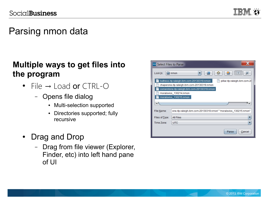

# Parsing nmon data

### **Multiple ways to get files into the program**

- $\bullet$  File  $\rightarrow$  Load or CTRL-O
	- Opens file dialog
		- Multi-selection supported
		- Directories supported; fully recursive
- Drag and Drop
	- Drag from file viewer (Explorer, Finder, etc) into left hand pane  $of$  III

| <b>IBM</b> Select Files to Parse |                                                                             |
|----------------------------------|-----------------------------------------------------------------------------|
| Look In:                         | 呛<br>ÂР<br>ø<br>冒<br>nmon<br>▼                                              |
|                                  | buttress.rtp.raleigh.ibm.com-20130319.nmon<br>pillar.rtp.raleigh.ibm.com-2( |
|                                  | chaperone.rtp.raleigh.ibm.com-20130319.nmon                                 |
|                                  | cornerstone.rtp.raleigh.ibm.com-20130319.nmon                               |
|                                  | moralsvios_130214.nmon                                                      |
|                                  | moralsvios_130215.nmon                                                      |
|                                  |                                                                             |
|                                  |                                                                             |
| File Name:                       | one.rtp.raleigh.ibm.com-20130319.nmon" "moralsvios_130215.nmon"             |
| Files of Type:                   | <b>All Files</b>                                                            |
| Time Zone:                       | <b>UTC</b>                                                                  |
|                                  | Parse<br>Cancel                                                             |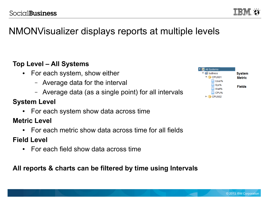# NMONVisualizer displays reports at multiple levels

### **Top Level – All Systems**

- For each system, show either
	- Average data for the interval
	- Average data (as a single point) for all intervals

### **System Level**

- For each system show data across time
- **Metric Level**
	- For each metric show data across time for all fields

### **Field Level**

 $\bullet$  For each field show data across time

**All reports & charts can be filtered by time using Intervals**



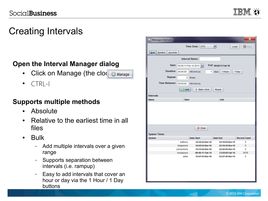# Creating Intervals

#### **Open the Interval Manager dialog**

- Click on Manage (the clock) C Manage
- CTRL-I

#### **Supports multiple methods**

- Absolute
- Relative to the earliest time in all files
- Bulk
	- Add multiple intervals over a given range
	- Supports separation between intervals (i.e. rampup)
	- Easy to add intervals that cover an hour or day via the 1 Hour / 1 Day buttons

| Manage Intervals                    |              |                                |                              |                     |
|-------------------------------------|--------------|--------------------------------|------------------------------|---------------------|
|                                     |              | Time Zone: UTC                 | $\blacktriangledown$<br>Load | Save                |
| <b>Bulk</b><br>Relative<br>Absolute |              |                                |                              |                     |
|                                     |              | <b>Interval Name:</b>          |                              |                     |
|                                     |              |                                |                              |                     |
| Start:                              |              | 00:00:11 Feb 14 2013           | End: 00:00:11 Feb 16         |                     |
| <b>Duration:</b>                    | 00:00:00     | HH:mm:ss<br>1                  | days<br>1 Hour               | 1 Day               |
| <b>Repeat:</b>                      | 2            | times                          |                              |                     |
| <b>Time Between:</b>                | 00:00:00     | HH:mm:ss                       |                              |                     |
|                                     | a Add        | $\hat{\mathbb{I}}$ Start = End | Reset                        |                     |
|                                     |              |                                |                              |                     |
| <b>Intervals</b>                    |              |                                |                              |                     |
| <b>Name</b>                         | <b>Start</b> |                                | <b>End</b>                   |                     |
|                                     |              |                                |                              |                     |
|                                     |              | Clear                          |                              |                     |
| <b>System Times</b>                 |              |                                |                              |                     |
| <b>System</b>                       |              | <b>Data Start</b>              | <b>Data End</b>              | <b>Record Count</b> |
|                                     | buttress     | 03:39:02 Mar 18                | 03:18:59 Mar 19              | 0                   |
|                                     | chaperone    | 04:09:03 Mar 18                | 03:18:39 Mar 19              | 0                   |
|                                     | cornerstone  | 03:10:02 Mar 18                | 03:26:55 Mar 19              | 0                   |
|                                     | moralsvios   | 00:00:11 Feb 14                | 23:59:56 Feb 14              | 3579                |
|                                     | pillar       | 03:07:03 Mar 18                | 03:27:45 Mar 19              | 0                   |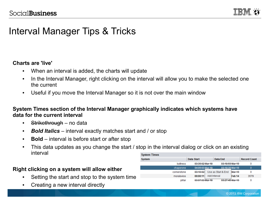

## Interval Manager Tips & Tricks

#### **Charts are 'live'**

- When an interval is added, the charts will update
- In the Interval Manager, right clicking on the interval will allow you to make the selected one the current
- Useful if you move the Interval Manager so it is not over the main window

#### **System Times section of the Interval Manager graphically indicates which systems have data for the current interval**

- Strikethrough no data
- **Bold Italics** interval exactly matches start and / or stop
- **Bold** interval is before start or after stop
- This data updates as you change the start / stop in the interval dialog or click on an existing interval

#### **Right clicking on a system will allow either**

- Setting the start and stop to the system time
- Creating a new interval directly

| <b>System Times</b> |             |                 |              |                    |                   |                     |
|---------------------|-------------|-----------------|--------------|--------------------|-------------------|---------------------|
| <b>System</b>       |             | Data Start      |              | Data End           |                   | <b>Record Count</b> |
|                     | buttress    | 03:39:02 Mar 18 |              | 03:18:59 Mar 19    |                   | 0                   |
|                     | chaperone   | 04:09:03 Mar 18 |              | 03:18:39 Mar 19    |                   | 0                   |
|                     | cornerstone | 03:10:02        |              | Use as Start & End | Mar 19            | 0                   |
|                     | moralsvios  | 00:00:11        | Add Interval |                    | Feb <sub>14</sub> | 3579                |
|                     | pillar      | 03:07:03 Mar 18 |              | 03:27:45 Mar 19    |                   | 0                   |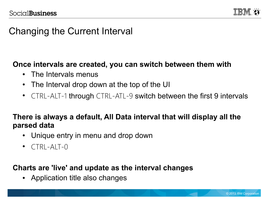

## Changing the Current Interval

### **Once intervals are created, you can switch between them with**

- The Intervals menus
- The Interval drop down at the top of the UI
- CTRL-ALT-1 through CTRL-ATL-9 switch between the first 9 intervals

### **There is always a default, All Data interval that will display all the parsed data**

- Unique entry in menu and drop down
- $\bullet$  CTRL-ALT-0

### **Charts are 'live' and update as the interval changes**

• Application title also changes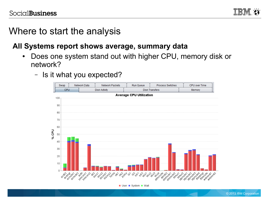

### Where to start the analysis

### **All Systems report shows average, summary data**

- Does one system stand out with higher CPU, memory disk or network?
	- Is it what you expected?



User System Wait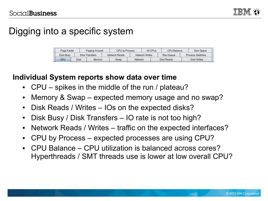# Digging into a specific system

| Page Faults |                | Paging Amount |        | <b>CPU by Process</b> |      |                | All CPUs<br>CPU Balance |            | Disk Space              |  |
|-------------|----------------|---------------|--------|-----------------------|------|----------------|-------------------------|------------|-------------------------|--|
| Disk Busy   | Disk Transfers |               |        | Network Reads         |      | Network Writes |                         | Run Queue  | <b>Process Switches</b> |  |
| CPU         | Disk           |               | Memory |                       | Swap | <b>Network</b> |                         | Disk Reads | Disk Writes             |  |

### **Individual System reports show data over time**

- CPU spikes in the middle of the run / plateau?
- Memory & Swap expected memory usage and no swap?
- Disk Reads / Writes IOs on the expected disks?
- Disk Busy / Disk Transfers IO rate is not too high?
- Network Reads / Writes traffic on the expected interfaces?
- CPU by Process expected processes are using CPU?
- CPU Balance CPU utilization is balanced across cores? Hyperthreads / SMT threads use is lower at low overall CPU?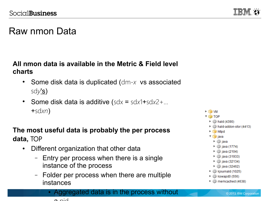

# Raw nmon Data

#### **All nmon data is available in the Metric & Field level charts**

- Some disk data is duplicated (dm-x vs associated sd*y*'s)
- Some disk data is additive  $(sdx = sdx1 + sdx2 + ...$ +sd*xn*)

#### **The most useful data is probably the per process data,** TOP

- Different organization that other data
	- Entry per process when there is a single instance of the process
	- Folder per process when there are multiple instances





© 2013 IBM Corporation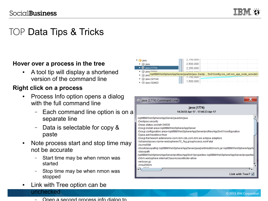

### TOP Data Tips & Tricks

#### **Hover over a process in the tree**

• A tool tip will display a shortened version of the command line

#### **Right click on a process**

- Process Info option opens a dialog with the full command line
	- Each command line option is on a separate line
	- Data is selectable for copy & paste
- Note process start and stop time may not be accurate
	- Start time may be when nmon was started
	- Stop time may be when nmon was stopped
- Link with Tree option can be unchecked

| — | Open a second process info dialog to |  |  |
|---|--------------------------------------|--|--|
|   |                                      |  |  |

|                 | 2,750,000                                                                                                                     |  |
|-----------------|-------------------------------------------------------------------------------------------------------------------------------|--|
| ∰ java          | 2,500,000                                                                                                                     |  |
| java (1774)     | 2,250,000                                                                                                                     |  |
|                 |                                                                                                                               |  |
| ► @ java (2104) |                                                                                                                               |  |
|                 |                                                                                                                               |  |
| ▶ sava (32134)  | java /opt/IBM/WebSphere/AppServer/java/bin/java -Declip  Srv01/config ocs_cell ocs_app_node_acnode2<br>1.750.000<br>1,500,000 |  |

| java (1774) Command Line                                                                                                                                                                                                                                                                                                                            |                                                                                                                                                                                                                                                                                                                                                                           |  |
|-----------------------------------------------------------------------------------------------------------------------------------------------------------------------------------------------------------------------------------------------------------------------------------------------------------------------------------------------------|---------------------------------------------------------------------------------------------------------------------------------------------------------------------------------------------------------------------------------------------------------------------------------------------------------------------------------------------------------------------------|--|
|                                                                                                                                                                                                                                                                                                                                                     | java (1774)<br>14:34:55 Apr 17 - 17:46:33 Apr 17                                                                                                                                                                                                                                                                                                                          |  |
| /opt/IBM/WebSphere/AppServer/java/bin/java<br>-Declipse.security<br>-Dwas.status.socket=34939<br>-Dosgi.install.area=/opt/IBM/WebSphere/AppServer<br>-Djava.awt.headless=true<br>-Xshareclasses:name=webspherev70_%g,groupAccess,nonFatal<br>-Xscmx50M<br>-classpath<br>-Dibm.websphere.internalClassAccessMode=allow<br>-verbose:gc<br>$-Xms2560m$ | -Dosgi.configuration.area=/opt/IBM/WebSphere/AppServer/profiles/AppSrv01/configuration<br>-Dosgi.framework.extensions=com.ibm.cds.com.ibm.ws.eclipse.adaptors<br>/Xbootclasspath/p:/opt/IBM/WebSphere/AppServer/java/jre/lib/ext/ibmorb.jar:/opt/IBM/WebSphere/AppS-<br>/opt/IBM/WebSphere/AppServer/profiles/AppSrv01/properties:/opt/IBM/WebSphere/AppServer/properties |  |
|                                                                                                                                                                                                                                                                                                                                                     | Link with $Tree?$                                                                                                                                                                                                                                                                                                                                                         |  |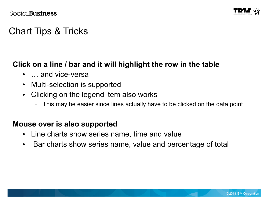

# Chart Tips & Tricks

### **Click on a line / bar and it will highlight the row in the table**

- … and vice-versa
- Multi-selection is supported
- Clicking on the legend item also works
	- This may be easier since lines actually have to be clicked on the data point

#### **Mouse over is also supported**

- Line charts show series name, time and value
- Bar charts show series name, value and percentage of total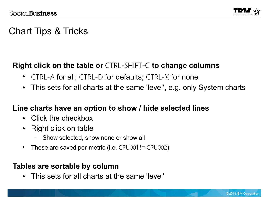

# Chart Tips & Tricks

### **Right click on the table or** CTRL-SHIFT-C **to change columns**

- CTRL-A for all; CTRL-D for defaults; CTRL-X for none
- This sets for all charts at the same 'level', e.g. only System charts

### **Line charts have an option to show / hide selected lines**

- Click the checkbox
- Right click on table
	- Show selected, show none or show all
- These are saved per-metric (i.e.  $CPU001$ !=  $CPU002$ )

#### **Tables are sortable by column**

• This sets for all charts at the same 'level'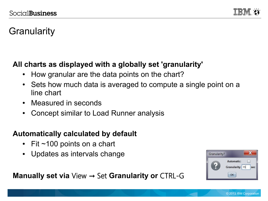

# **Granularity**

### **All charts as displayed with a globally set 'granularity'**

- How granular are the data points on the chart?
- Sets how much data is averaged to compute a single point on a line chart
- Measured in seconds
- Concept similar to Load Runner analysis

### **Automatically calculated by default**

- Fit  $\sim$  100 points on a chart
- Updates as intervals change



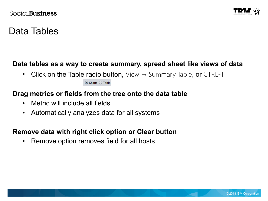

## Data Tables

#### **Data tables as a way to create summary, spread sheet like views of data**

• Click on the Table radio button,  $View \rightarrow Summary$  Table, or CTRL-T

 $\odot$  Charts  $\odot$  Table

#### **Drag metrics or fields from the tree onto the data table**

- Metric will include all fields
- Automatically analyzes data for all systems

#### **Remove data with right click option or Clear button**

• Remove option removes field for all hosts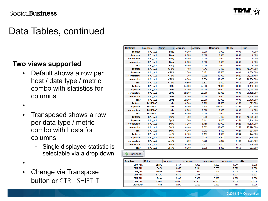

### Data Tables, continued

#### **Two views supported**

• Default shows a row per host / data type / metric combo with statistics for columns

●

- Transposed shows a row per data type / metric combo with hosts for columns
	- Single displayed statistic is selectable via a drop down
- ●
- Change via Transpose button or CTRL-SHIFT-T

| <b>Hostname</b> | Data Type       | <b>Metric</b> | $\triangle$ Minimum | Average | <b>Maximum</b> | <b>Std Dev</b> | <b>Sum</b> |
|-----------------|-----------------|---------------|---------------------|---------|----------------|----------------|------------|
| <b>buttress</b> | <b>CPU ALL</b>  | <b>Busy</b>   | 0.000               | 0.000   | 0.000          | 0.000          | 0.000      |
| chaperone       | <b>CPU_ALL</b>  | <b>Busy</b>   | 0.000               | 0.000   | 0.000          | 0.000          | 0.000      |
| cornerstone     | <b>CPU_ALL</b>  | <b>Busy</b>   | 0.000               | 0.000   | 0.000          | 0.000          | 0.000      |
| moralsvios      | <b>CPU ALL</b>  | <b>Busy</b>   | 0.000               | 0.000   | 0.000          | 0.000          | 0.000      |
| pillar          | <b>CPU ALL</b>  | <b>Busy</b>   | 0.000               | 0.000   | 0.000          | 0.000          | 0.000      |
| <b>buttress</b> | <b>CPU_ALL</b>  | CPU%          | 4.400               | 4.513   | 6.400          | 0.242          | 12,811.300 |
| chaperone       | <b>CPU ALL</b>  | CPU%          | 2.500               | 3.171   | 12.500         | 0.691          | 8,804.500  |
| cornerstone     | <b>CPU_ALL</b>  | CPU%          | 4.700               | 8.682   | 15.300         | 2.026          | 25,272.400 |
| moralsvios      | <b>CPU ALL</b>  | CPU%          | 0.600               | 8.034   | 19.900         | 7.263          | 28.754.500 |
| pillar          | <b>CPU ALL</b>  | CPU%          | 0.500               | 0.577   | 2.500          | 0.070          | 1,685.200  |
| <b>buttress</b> | <b>CPU ALL</b>  | <b>CPUs</b>   | 24.000              | 24.000  | 24.000         | 0.000          | 68.136.000 |
| chaperone       | <b>CPU ALL</b>  | <b>CPUs</b>   | 24.000              | 24.000  | 24.000         | 0.000          | 66,648.000 |
| cornerstone     | <b>CPU ALL</b>  | <b>CPUs</b>   | 32.000              | 32.000  | 32.000         | 0.000          | 93,152.000 |
| moralsvios      | <b>CPU ALL</b>  | <b>CPUs</b>   | 4.000               | 4.000   | 4.000          | 0.000          | 14,316.000 |
| pillar          | <b>CPU ALL</b>  | <b>CPUs</b>   | 32.000              | 32.000  | 32.000         | 0.000          | 93,408.000 |
| <b>buttress</b> | <b>DISKREAD</b> | sda           | 0.000               | 0.202   | 11.500         | 0.253          | 573.300    |
| chaperone       | <b>DISKREAD</b> | sda           | 0.000               | 0.538   | 939.500        | 18.197         | 1,493.600  |
| cornerstone     | <b>DISKREAD</b> | sda           | 0.000               | 0.000   | 0.000          | 0.000          | 0.000      |
| pillar          | <b>DISKREAD</b> | sda           | 0.000               | 0.000   | 0.000          | 0.000          | 0.000      |
| <b>buttress</b> | <b>CPU_ALL</b>  | Sys%          | 4.300               | 4.356   | 5.400          | 0.062          | 12,366.500 |
| chaperone       | <b>CPU ALL</b>  | Sys%          | 1.600               | 2.141   | 4.400          | 0.251          | 5,944.400  |
| cornerstone     | <b>CPU ALL</b>  | Sys%          | 3.200               | 6.759   | 10.900         | 2.028          | 19,675.000 |
| moralsvios      | <b>CPU ALL</b>  | Sys%          | 0.400               | 7.823   | 18.800         | 7.258          | 27.998.300 |
| pillar          | <b>CPU ALL</b>  | Sys%          | 0.300               | 0.302   | 1.400          | 0.024          | 881.700    |
| <b>buttress</b> | <b>CPU ALL</b>  | User%         | 0.100               | 0.157   | 1.900          | 0.204          | 444.800    |
| chaperone       | <b>CPU ALL</b>  | User%         | 0.800               | 1.030   | 8.900          | 0.587          | 2,860.100  |
| cornerstone     | <b>CPU ALL</b>  | User%         | 1.200               | 1.923   | 5.200          | 0.434          | 5,597.400  |
| moralsvios      | <b>CPU ALL</b>  | User%         | 0.200               | 0.211   | 9.800          | 0.171          | 756.200    |
| pillar          | <b>CPU_ALL</b>  | User%         | 0.200               | 0.275   | 1.300          | 0.060          | 803.500    |

**2** Transpose

| Data Type       | <b>Metric</b> | <b>buttress</b> | chaperone | cornerstone | moralsvios | pillar |
|-----------------|---------------|-----------------|-----------|-------------|------------|--------|
| <b>CPU ALL</b>  | User%         | 0.157           | 1.030     | 1.923       | 0.211      | 0.275  |
| <b>CPU ALL</b>  | Sys%          | 4.356           | 2.141     | 6.759       | 7.823      | 0.302  |
| <b>CPU ALL</b>  | Wait%         | 0.008           | 0.023     | 0.003       | 0.004      | 0.000  |
| <b>CPU ALL</b>  | CPU%          | 4.513           | 3.171     | 8.682       | 8.034      | 0.577  |
| <b>CPU ALL</b>  | <b>Busy</b>   | 0.000           | 0.000     | 0.000       | 0.000      | 0.000  |
| <b>CPU ALL</b>  | <b>CPUs</b>   | 24,000          | 24.000    | 32.000      | 4.000      | 32,000 |
| <b>DISKREAD</b> | sda           | 0.202           | 0.538     | 0.000       | <b>N/A</b> | 0.000  |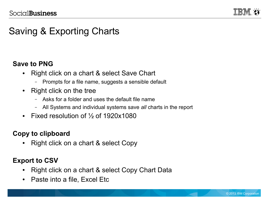

# Saving & Exporting Charts

#### **Save to PNG**

- Right click on a chart & select Save Chart
	- Prompts for a file name, suggests a sensible default
- Right click on the tree
	- Asks for a folder and uses the default file name
	- All Systems and individual systems save *all* charts in the report
- Fixed resolution of  $\frac{1}{2}$  of 1920x1080

### **Copy to clipboard**

• Right click on a chart & select Copy

### **Export to CSV**

- Right click on a chart & select Copy Chart Data
- Paste into a file, Excel Etc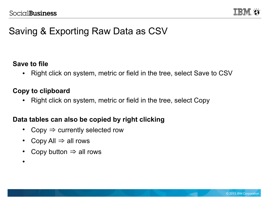

## Saving & Exporting Raw Data as CSV

#### **Save to file**

• Right click on system, metric or field in the tree, select Save to CSV

#### **Copy to clipboard**

• Right click on system, metric or field in the tree, select Copy

#### **Data tables can also be copied by right clicking**

- Copy  $\Rightarrow$  currently selected row
- Copy All  $\Rightarrow$  all rows
- Copy button  $\Rightarrow$  all rows
- ●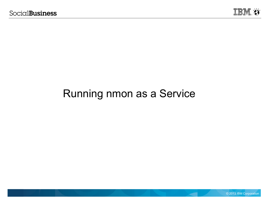

# Running nmon as a Service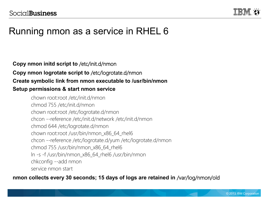

## Running nmon as a service in RHEL 6

#### **Copy nmon initd script to** /etc/init.d/nmon **Copy nmon logrotate script to** /etc/logrotate.d/nmon **Create symbolic link from nmon executable to /usr/bin/nmon Setup permissions & start nmon service**

#### chown root:root /etc/init.d/nmon chmod 755 /etc/init.d/nmon chown root:root /etc/logrotate.d/nmon chcon --reference /etc/init.d/network /etc/init.d/nmon chmod 644 /etc/logrotate.d/nmon chown root:root /usr/bin/nmon\_x86\_64\_rhel6 chcon --reference /etc/logrotate.d/yum /etc/logrotate.d/nmon chmod 755 /usr/bin/nmon\_x86\_64\_rhel6 ln -s -f /usr/bin/nmon\_x86\_64\_rhel6 /usr/bin/nmon chkconfig --add nmon service nmon start

#### **nmon collects every 30 seconds; 15 days of logs are retained in** /var/log/nmon/old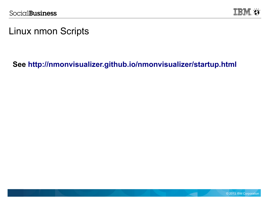

### Linux nmon Scripts

### **See <http://nmonvisualizer.github.io/nmonvisualizer/startup.html>**